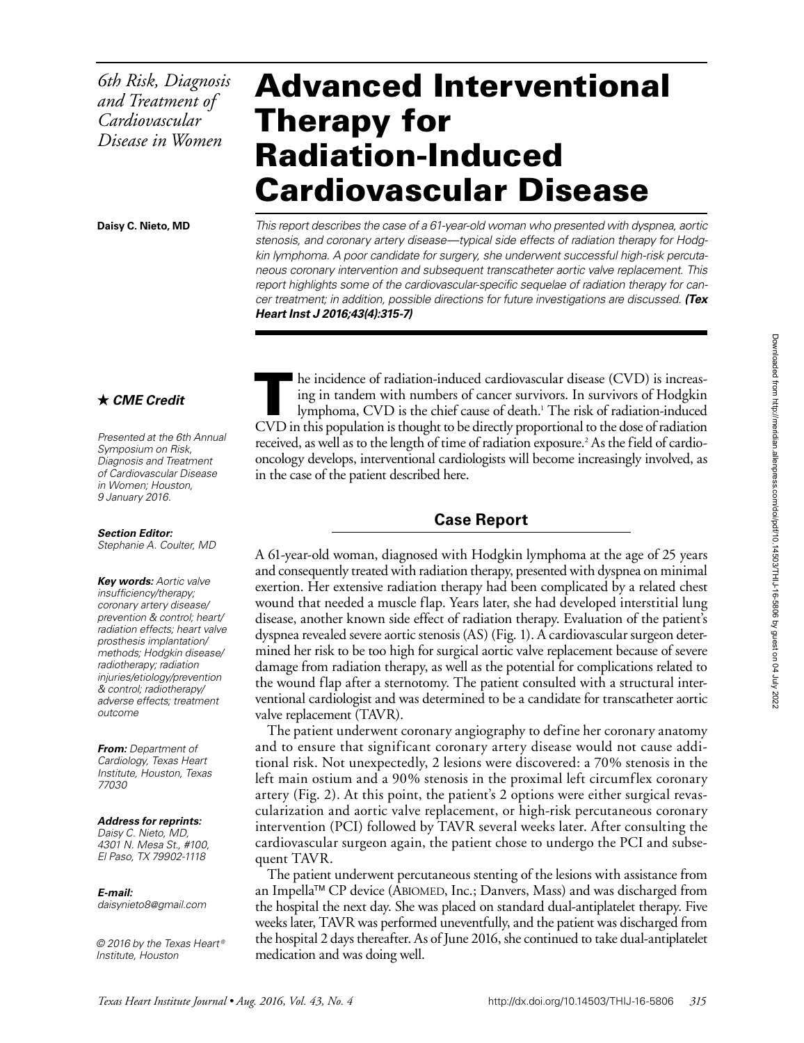*6th Risk, Diagnosis and Treatment of Cardiovascular Disease in Women*

# Advanced Interventional Therapy for Radiation-Induced Cardiovascular Disease

**Daisy C. Nieto, MD**

*This report describes the case of a 61-year-old woman who presented with dyspnea, aortic stenosis, and coronary artery disease—typical side effects of radiation therapy for Hodgkin lymphoma. A poor candidate for surgery, she underwent successful high-risk percutaneous coronary intervention and subsequent transcatheter aortic valve replacement. This report highlights some of the cardiovascular-specific sequelae of radiation therapy for cancer treatment; in addition, possible directions for future investigations are discussed. (Tex Heart Inst J 2016;43(4):315-7)*

# *CME Credit*

*Presented at the 6th Annual Symposium on Risk, Diagnosis and Treatment of Cardiovascular Disease in Women; Houston, 9 January 2016.*

#### *Section Editor:*

*Stephanie A. Coulter, MD*

*Key words: Aortic valve insufficiency/therapy; coronary artery disease/ prevention & control; heart/ radiation effects; heart valve prosthesis implantation/ methods; Hodgkin disease/ radiotherapy; radiation injuries/etiology/prevention & control; radiotherapy/ adverse effects; treatment outcome*

*From: Department of Cardiology, Texas Heart Institute, Houston, Texas 77030*

#### *Address for reprints:*

*Daisy C. Nieto, MD, 4301 N. Mesa St., #100, El Paso, TX 79902-1118*

#### *E-mail:*

*daisynieto8@gmail.com*

*© 2016 by the Texas Heart ® Institute, Houston*

 $\blacksquare$  he incidence of radiation-induced cardiovascular disease (CVD) is increasing in tandem with numbers of cancer survivors. In survivors of Hodgkin lymphoma, CVD is the chief cause of death.<sup>1</sup> The risk of radiation-induced CVD in this population is thought to be directly proportional to the dose of radiation received, as well as to the length of time of radiation exposure.<sup>2</sup> As the field of cardiooncology develops, interventional cardiologists will become increasingly involved, as in the case of the patient described here.

### **Case Report**

A 61-year-old woman, diagnosed with Hodgkin lymphoma at the age of 25 years and consequently treated with radiation therapy, presented with dyspnea on minimal exertion. Her extensive radiation therapy had been complicated by a related chest wound that needed a muscle flap. Years later, she had developed interstitial lung disease, another known side effect of radiation therapy. Evaluation of the patient's dyspnea revealed severe aortic stenosis (AS) (Fig. 1). A cardiovascular surgeon determined her risk to be too high for surgical aortic valve replacement because of severe damage from radiation therapy, as well as the potential for complications related to the wound flap after a sternotomy. The patient consulted with a structural interventional cardiologist and was determined to be a candidate for transcatheter aortic valve replacement (TAVR).

The patient underwent coronary angiography to define her coronary anatomy and to ensure that significant coronary artery disease would not cause additional risk. Not unexpectedly, 2 lesions were discovered: a 70% stenosis in the left main ostium and a 90% stenosis in the proximal left circumflex coronary artery (Fig. 2). At this point, the patient's 2 options were either surgical revascularization and aortic valve replacement, or high-risk percutaneous coronary intervention (PCI) followed by TAVR several weeks later. After consulting the cardiovascular surgeon again, the patient chose to undergo the PCI and subsequent TAVR.

The patient underwent percutaneous stenting of the lesions with assistance from an Impella™ CP device (ABIOMED, Inc.; Danvers, Mass) and was discharged from the hospital the next day. She was placed on standard dual-antiplatelet therapy. Five weeks later, TAVR was performed uneventfully, and the patient was discharged from the hospital 2 days thereafter. As of June 2016, she continued to take dual-antiplatelet medication and was doing well.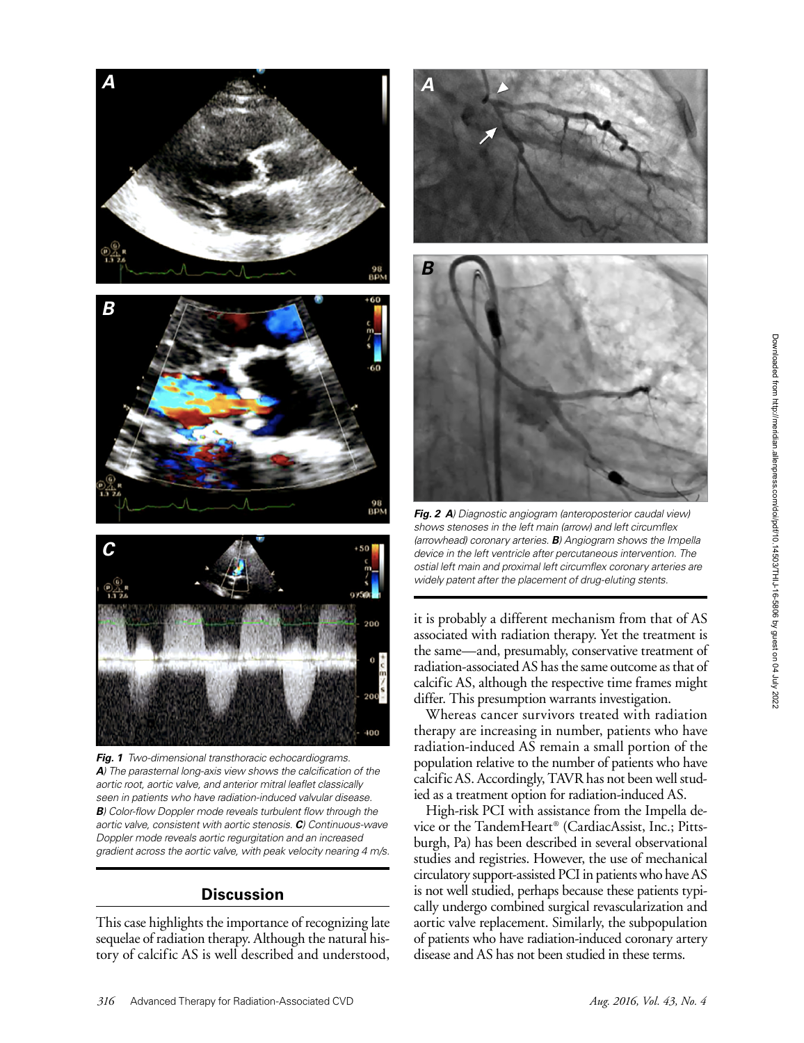

*A) The parasternal long-axis view shows the calcification of the aortic root, aortic valve, and anterior mitral leaflet classically seen in patients who have radiation-induced valvular disease. B) Color-flow Doppler mode reveals turbulent flow through the aortic valve, consistent with aortic stenosis. C) Continuous-wave Doppler mode reveals aortic regurgitation and an increased gradient across the aortic valve, with peak velocity nearing 4 m/s.*

## **Discussion**

This case highlights the importance of recognizing late sequelae of radiation therapy. Although the natural history of calcific AS is well described and understood,



*Fig. 2 A) Diagnostic angiogram (anteroposterior caudal view) shows stenoses in the left main (arrow) and left circumflex (arrowhead) coronary arteries. B) Angiogram shows the Impella device in the left ventricle after percutaneous intervention. The ostial left main and proximal left circumflex coronary arteries are widely patent after the placement of drug-eluting stents.*

it is probably a different mechanism from that of AS associated with radiation therapy. Yet the treatment is the same—and, presumably, conservative treatment of radiation-associated AS has the same outcome as that of calcific AS, although the respective time frames might differ. This presumption warrants investigation.

Whereas cancer survivors treated with radiation therapy are increasing in number, patients who have radiation-induced AS remain a small portion of the population relative to the number of patients who have calcific AS. Accordingly, TAVR has not been well studied as a treatment option for radiation-induced AS.

High-risk PCI with assistance from the Impella device or the TandemHeart® (CardiacAssist, Inc.; Pittsburgh, Pa) has been described in several observational studies and registries. However, the use of mechanical circulatory support-assisted PCI in patients who have AS is not well studied, perhaps because these patients typically undergo combined surgical revascularization and aortic valve replacement. Similarly, the subpopulation of patients who have radiation-induced coronary artery disease and AS has not been studied in these terms.